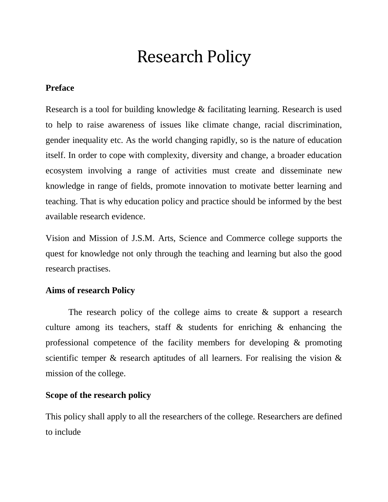# Research Policy

# **Preface**

Research is a tool for building knowledge & facilitating learning. Research is used to help to raise awareness of issues like climate change, racial discrimination, gender inequality etc. As the world changing rapidly, so is the nature of education itself. In order to cope with complexity, diversity and change, a broader education ecosystem involving a range of activities must create and disseminate new knowledge in range of fields, promote innovation to motivate better learning and teaching. That is why education policy and practice should be informed by the best available research evidence.

Vision and Mission of J.S.M. Arts, Science and Commerce college supports the quest for knowledge not only through the teaching and learning but also the good research practises.

# **Aims of research Policy**

The research policy of the college aims to create  $\&$  support a research culture among its teachers, staff  $\&$  students for enriching  $\&$  enhancing the professional competence of the facility members for developing & promoting scientific temper  $\&$  research aptitudes of all learners. For realising the vision  $\&$ mission of the college.

# **Scope of the research policy**

This policy shall apply to all the researchers of the college. Researchers are defined to include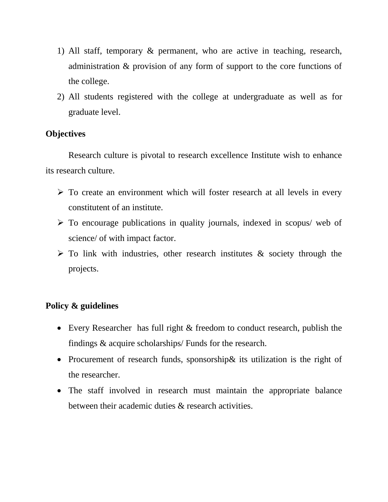- 1) All staff, temporary & permanent, who are active in teaching, research, administration & provision of any form of support to the core functions of the college.
- 2) All students registered with the college at undergraduate as well as for graduate level.

# **Objectives**

Research culture is pivotal to research excellence Institute wish to enhance its research culture.

- > To create an environment which will foster research at all levels in every constitutent of an institute.
- $\triangleright$  To encourage publications in quality journals, indexed in scopus/ web of science/ of with impact factor.
- $\triangleright$  To link with industries, other research institutes & society through the projects.

# **Policy & guidelines**

- Every Researcher has full right & freedom to conduct research, publish the findings & acquire scholarships/ Funds for the research.
- Procurement of research funds, sponsorship & its utilization is the right of the researcher.
- The staff involved in research must maintain the appropriate balance between their academic duties & research activities.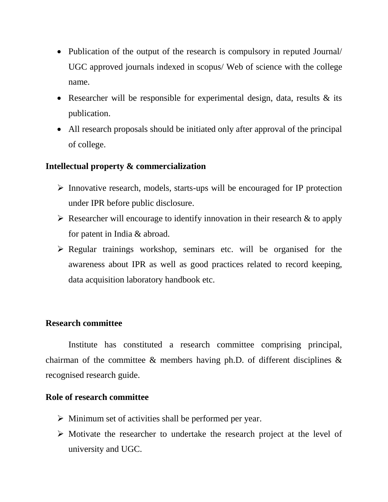- Publication of the output of the research is compulsory in reputed Journal/ UGC approved journals indexed in scopus/ Web of science with the college name.
- Researcher will be responsible for experimental design, data, results & its publication.
- All research proposals should be initiated only after approval of the principal of college.

# **Intellectual property & commercialization**

- $\triangleright$  Innovative research, models, starts-ups will be encouraged for IP protection under IPR before public disclosure.
- $\triangleright$  Researcher will encourage to identify innovation in their research & to apply for patent in India & abroad.
- $\triangleright$  Regular trainings workshop, seminars etc. will be organised for the awareness about IPR as well as good practices related to record keeping, data acquisition laboratory handbook etc.

# **Research committee**

Institute has constituted a research committee comprising principal, chairman of the committee  $\&$  members having ph.D. of different disciplines  $\&$ recognised research guide.

# **Role of research committee**

- $\triangleright$  Minimum set of activities shall be performed per year.
- $\triangleright$  Motivate the researcher to undertake the research project at the level of university and UGC.